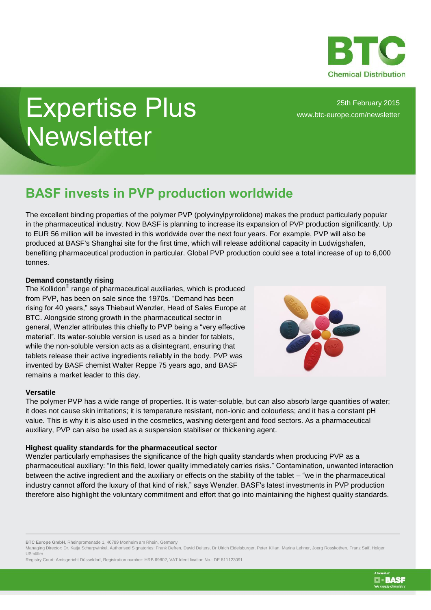

# Expertise Plus **Newsletter**

25th February 2015 [www.btc-europe.com/newsletter](http://www.btc-europe.com/newsletter)

# **BASF invests in PVP production worldwide**

The excellent binding properties of the polymer PVP (polyvinylpyrrolidone) makes the product particularly popular in the pharmaceutical industry. Now BASF is planning to increase its expansion of PVP production significantly. Up to EUR 56 million will be invested in this worldwide over the next four years. For example, PVP will also be produced at BASF's Shanghai site for the first time, which will release additional capacity in Ludwigshafen, benefiting pharmaceutical production in particular. Global PVP production could see a total increase of up to 6,000 tonnes.

## **Demand constantly rising**

The Kollidon<sup>®</sup> range of pharmaceutical auxiliaries, which is produced from PVP, has been on sale since the 1970s. "Demand has been rising for 40 years," says Thiebaut Wenzler, Head of Sales Europe at BTC. Alongside strong growth in the pharmaceutical sector in general, Wenzler attributes this chiefly to PVP being a "very effective material". Its water-soluble version is used as a binder for tablets, while the non-soluble version acts as a disintegrant, ensuring that tablets release their active ingredients reliably in the body. PVP was invented by BASF chemist Walter Reppe 75 years ago, and BASF remains a market leader to this day.



**EI-BASF** 

### **Versatile**

The polymer PVP has a wide range of properties. It is water-soluble, but can also absorb large quantities of water; it does not cause skin irritations; it is temperature resistant, non-ionic and colourless; and it has a constant pH value. This is why it is also used in the cosmetics, washing detergent and food sectors. As a pharmaceutical auxiliary, PVP can also be used as a suspension stabiliser or thickening agent.

### **Highest quality standards for the pharmaceutical sector**

Wenzler particularly emphasises the significance of the high quality standards when producing PVP as a pharmaceutical auxiliary: "In this field, lower quality immediately carries risks." Contamination, unwanted interaction between the active ingredient and the auxiliary or effects on the stability of the tablet – "we in the pharmaceutical industry cannot afford the luxury of that kind of risk," says Wenzler. BASF's latest investments in PVP production therefore also highlight the voluntary commitment and effort that go into maintaining the highest quality standards.

**BTC Europe GmbH**, Rheinpromenade 1, 40789 Monheim am Rhein, Germany

Managing Director: Dr. Katja Scharpwinkel, Authorised Signatories: Frank Defren, David Deiters, Dr Ulrich Eidelsburger, Peter Kilian, Marina Lehner, Joerg Rosskothen, Franz Saif, Holger Ußmüller

Registry Court: Amtsgericht Düsseldorf, Registration number: HRB 69802, VAT Identification No.: DE 811123091